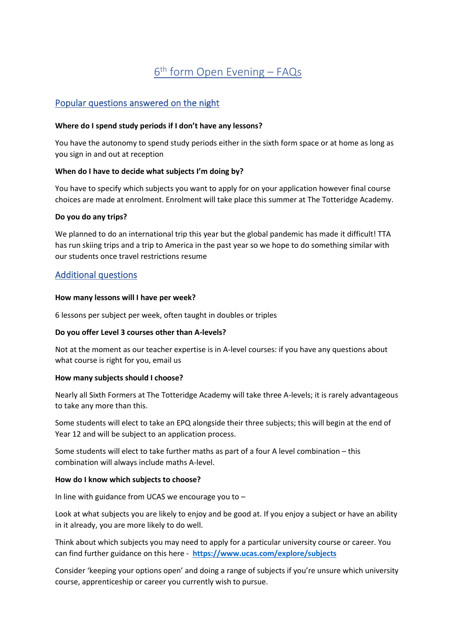# <u>6<sup>th</sup> form Open Evening – FAQs</u>

# Popular questions answered on the night

#### **Where do I spend study periods if I don't have any lessons?**

You have the autonomy to spend study periods either in the sixth form space or at home as long as you sign in and out at reception

#### **When do I have to decide what subjects I'm doing by?**

You have to specify which subjects you want to apply for on your application however final course choices are made at enrolment. Enrolment will take place this summer at The Totteridge Academy.

#### **Do you do any trips?**

We planned to do an international trip this year but the global pandemic has made it difficult! TTA has run skiing trips and a trip to America in the past year so we hope to do something similar with our students once travel restrictions resume

# Additional questions

#### **How many lessons will I have per week?**

6 lessons per subject per week, often taught in doubles or triples

#### **Do you offer Level 3 courses other than A-levels?**

Not at the moment as our teacher expertise is in A-level courses: if you have any questions about what course is right for you, email us

#### **How many subjects should I choose?**

Nearly all Sixth Formers at The Totteridge Academy will take three A-levels; it is rarely advantageous to take any more than this.

Some students will elect to take an EPQ alongside their three subjects; this will begin at the end of Year 12 and will be subject to an application process.

Some students will elect to take further maths as part of a four A level combination – this combination will always include maths A-level.

#### **How do I know which subjects to choose?**

In line with guidance from UCAS we encourage you to –

Look at what subjects you are likely to enjoy and be good at. If you enjoy a subject or have an ability in it already, you are more likely to do well.

Think about which subjects you may need to apply for a particular university course or career. You can find further guidance on this here - **<https://www.ucas.com/explore/subjects>**

Consider 'keeping your options open' and doing a range of subjects if you're unsure which university course, apprenticeship or career you currently wish to pursue.